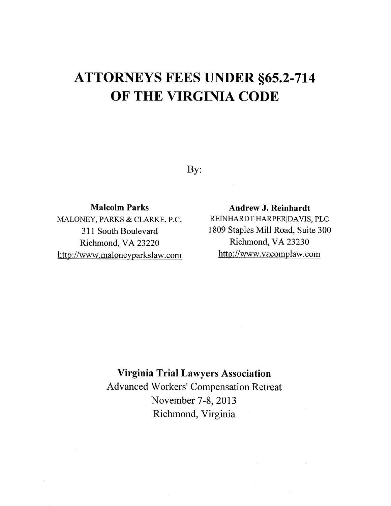## ATTORNEYS FEES UNDER \$65.2-714 OF THE VIRGINIA CODE

By:

## Malcolm Parks

MALONEY, PARKS & CLARKE, P.C. 311 South Boulevard Richmond, VA 23220 http://www.maloneyparkslaw.com

Andrew J. Reinhardt REINHARDTIHARPERIDAVIS, PLC 1809 Staples Mill Road, Suite 300 Richmond, VA 23230 http ://www. vacomplaw. com

## Virginia Trial Lawyers Association

Advanced Workers' Compensation Retreat November 7-8, 2013 Richmond, Virginia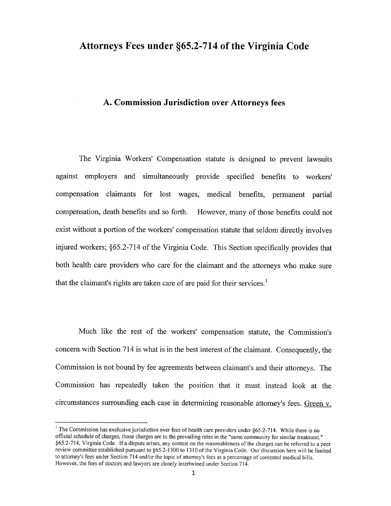## A. Commission Jurisdiction over Attorneys fees

The Virginia Workers' Compensation statute is designed to prevent lawsuits against employers and simultaneously provide specified benefits to workers' compensation claimants for lost wages, medical benefits, permanent partial compensation, death benefits and so forth. However, many of those benefits could not exist without a portion of the workers' compensation statute that seldom directly involves injured workers; ç65.2-714 of the Virginia Code. This Section specifically provides that both health care providers who care for the claimant and the attorneys who make sure that the claimant's rights are taken care of are paid for their services.<sup>1</sup>

Much like the rest of the workers' compensation statute, the Commission's concern with Section 714 is what is in the best interest of the claimant. Consequently, the Commission is not bound by fee agreements between claimant's and their attomeys. The Commission has repeatedly taken the position that it must instead look at the circumstances sutrounding each case in determining reasonable attorney's fees. Green v.

<sup>&</sup>lt;sup>1</sup> The Commission has exclusive jurisdiction over fees of health care providers under  $§65.2-714$ . While there is no official schedule of charges, those charges are to the prevailing rates in the "same community for similar treatment." §65.2-714, Virginia Code. If a dispute arises, any contest on the reasonableness of the charges can be referred to a peer review committee established pursuant to \$65.2-1300 to l3l0 of the Virginia Code. Our discussion here will be limited to attorney's fees under Section 714 and/or the topic of attorney's fees as a percentage of contested medical bills. However, the fees of doctors and lawyers are closely intertwined under Section 7 14.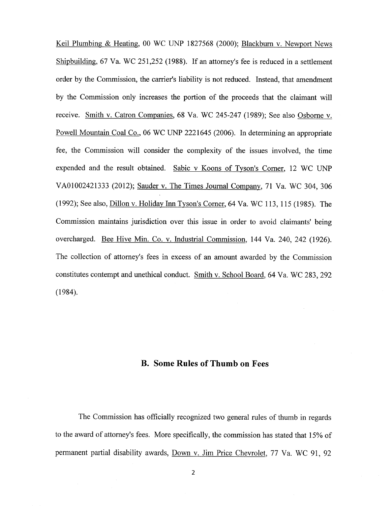Keil Plumbing & Heating, 00 WC UNP 1827568 (2000); Blackburn v. Newport News Shipbuilding,6T Ya.WC25I,252 (1988). If an attomey's fee is reduced in a settlement order by the Commission, the carrier's liability is not reduced. Instead, that amendment by the Commission only increases the portion of the proceeds that the claimant will receive. Smith v. Catron Companies, 68 Va. WC 245-247 (1989); See also Osborne v. Powell Mountain Coal Co., 06 WC UNP 2221645 (2006). In determining an appropriate fee, the Commission will consider the complexity of the issues involved, the time expended and the result obtained. Sabic v Koons of Tyson's Corner, 12 WC UNP VA01002421333 (2012); Sauder v. The Times Journal Company, 71 Va. WC 304, 306 (1992); See also, Dillon v. Holiday Inn Tyson's Corner, 64 Va. WC 113, 115 (1985). The Commission maintains jurisdiction over this issue in order to avoid claimants' being overcharged. Bee Hive Min. Co. v. Industrial Commission, 144 Va. 240, 242 (1926). The collection of attorney's fees in excess of an amount awarded by the Commission constitutes contempt and unethical conduct. Smith v. School Board,64Ya.WC283,292  $(1984).$ 

## B. Some Rules of Thumb on Fees

The Commission has officially recognized two general rules of thumb in regards to the award of attorney's fees. More specifically, the commission has stated that I 5Yo of permanent partial disability awards, Down v. Jim Price Chevrolet, 77 Va. WC 91, 92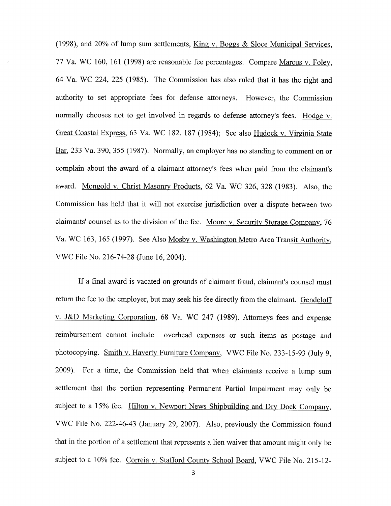(1998), and 20% of lump sum settlements,  $King v. Boggs & Sloce Municipal Services$ , 77 Va. WC 160, 161 (1998) are reasonable fee percentages. Compare Marcus v. Foley, 64 Ya. WC 224,225 (1985). The Commission has also ruled that it has the right and authority to set appropriate fees for defense attorneys. However, the Commission normally chooses not to get involved in regards to defense attorney's fees. Hodge v. Great Coastal Express, 63 Va. WC 182, 187 (1984); See also Hudock v. Virginia State Bar,233 Va. 390, 355 (1987). Normally, an employer has no standing to comment on or complain about the award of a claimant attorney's fees when paid from the claimant's award. Mongold v. Christ Masonry Products, 62 Va. WC 326, 328 (1983). Also, the Commission has held that it will not exercise jurisdiction over a dispute between two claimants' counsel as to the division of the fee. Moore v. Security Storage Company, 76 Va. WC 163, 165 (1997). See Also Mosby v. Washington Metro Area Transit Authority, VV/C File No. 216-14-28 (June 16, 2004).

If a final award is vacated on grounds of claimant fraud, claimant's counsel must return the fee to the employer, but may seek his fee directly from the claimant. Gendeloff v. J&D Marketing Corporation, 68 Va. WC 247 (1989). Attorneys fees and expense reimbursement cannot include overhead expenses or such items as postage and photocopying. Smith v. Haverty Furniture Company, VwC File No. 233-15-93 (July 9, 2009). For a time, the Commission held that when claimants receive a lump sum settlement that the portion representing Permanent Partial Impairment may only be subject to a 15% fee. Hilton v. Newport News Shipbuilding and Dry Dock Company, VWC File No. 222-46-43 (January 29,2007). Also, previously the Commission found that in the portion of a settlement that represents a lien waiver that amount might only be subject to a 10% fee. Correia v. Stafford County School Board, VWC File No. 215-12-

3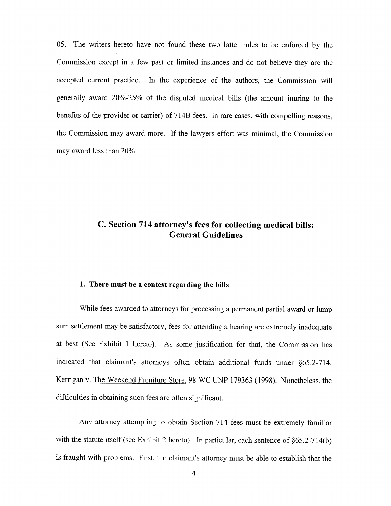05. The writers hereto have not found these two latter rules to be enforced by the Commission except in a few past or limited instances and do not believe they are the accepted current practice. In the experience of the authors, the Commission will generally award 20%-25% of the disputed medical bills (the amount inuring to the benefits of the provider or carrier) of 714B fees. In rare cases, with compelling reasons, the Commission may award more. If the lawyers effort was minimal, the Commission may award less than 20%.

## C. Section 714 attorney's fees for collecting medical bills: General Guidelines

### 1. There must be a contest regarding the bitls

While fees awarded to attorneys for processing a permanent partial award or lump sum settlement may be satisfactory, fees for attending a hearing are extremely inadequate at best (See Exhibit 1 hereto). As some justification for that, the Commission has indicated that claimant's attorneys often obtain additional funds under §65.2-714. Kerrigan v. The Weekend Furniture Store, 98 WC UNP 179363 (1998). Nonetheless, the difficulties in obtaining such fees are often significant.

Any attorney attempting to obtain Section 714 fees must be extremely familiar with the statute itself (see Exhibit 2 hereto). In particular, each sentence of  $§65.2-714(b)$ is fraught with problems. First, the claimant's attorney must be able to establish that the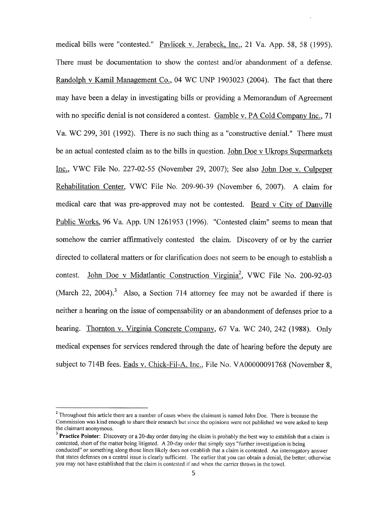medical bills were "contested." Pavlicek v. Jerabeck, Inc., 21 Va. App. 58, 58 (1995). There must be documentation to show the contest and/or abandonment of a defense. Randolph v Kamil Management Co., 04 WC UNP 1903023 (2004). The fact that there may have been a delay in investigating bills or providing a Memorandum of Agreement with no specific denial is not considered a contest. Gamble v. PA Cold Company Inc., 71 Va. WC 299,301 (1992). There is no such thing as a "constructive denial." There must be an actual contested claim as to the bills in question. John Doe v Ukrops Supermarkets Inc., VWC File No. 227-02-55 (November 29,2007); See also John Doe v. Culpeper Rehabilitation Center, VWC File No. 209-90-39 (November 6, 2007). A claim for medical care that was pre-approved may not be contested. Beard v City of Danville Public Works, 96 Ya. App. UN 1261953 (1996). "Contested claim" seems to mean that somehow the carrier affirmatively contested the claim. Discovery of or by the carrier directed to collateral matters or for clarification does not seem to be enough to establish a contest. John Doe v Midatlantic Construction Virginia<sup>2</sup>, VWC File No. 200-92-03 (March 22, 2004).<sup>3</sup> Also, a Section 714 attorney fee may not be awarded if there is neither a hearing on the issue of compensability or an abandonment of defenses prior to a hearing. Thornton v. Virginia Concrete Company, 67 Ya. WC 240, 242 (1985). Only medical expenses for services rendered through the date of hearing before the deputy are subject to 714B fees. Eads v. Chick-Fil-A, Inc., File No. VA00000091768 (November 8,

<sup>&</sup>lt;sup>2</sup> Throughout this article there are a number of cases where the claimant is named John Doe. There is because the Commission was kind enough to share their research but since the opinions were not published we were asked to keep the claimant anonymous.

 $3$  Practice Pointer: Discovery or a 20-day order denying the claim is probably the best way to establish that a claim is contested, short of the matter being litigated. A 20-day order that simply says "further investigation is being conducted" or something along those lines likely does not establish that a claim is contested. An interrogatory answer that states defenses on a central issue is clearly sufficient. The earlier that you can obtain a denial, the better; otherwise you may not have established that the claim is contested if and when the carrier throws in the towel.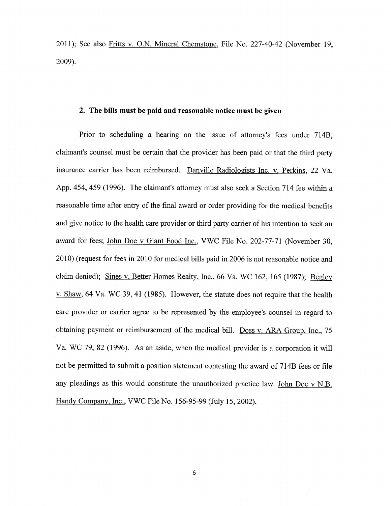20ll); See also Fritts v. O.N. Mineral Chemstone, File No. 227-40-42 (November 19, 2009).

### 2. The bills must be paid and reasonable notice must be given

Prior to scheduling a hearing on the issue of attorney's fees under 7148, claimant's counsel must be certain that the provider has been paid or that the third party insurance carrier has been reimbursed. Danville Radiologists Inc. v. Perkins,22 Ya. App. 454,459 (1996). The claimant's attorney must also seek a Section 714 fee within <sup>a</sup> reasonable time after entry of the final award or order providing for the medical benefits and give notice to the health care provider or third party carrier of his intention to seek an award for fees; John Doe v Giant Food Inc., VWC File No. 202-77-71 (November 30, 2010) (request for fees in 2010 for medical bills paid in 2006 ìs not reasonable notice and claim denied); Sines v. Better Homes Realty, Inc., 66 Va. WC 162, 165 (1987); Begley v. Shaw, 64 Ya. WC 39, 4l (1985). However, the statute does not require that the health care provider or carrier agree to be represented by the employee's counsel in regard to obtaining payment or reimbursement of the medical bill. Doss v. ARA Group. Inc., <sup>75</sup> Va. WC 79,82 (1996). As an aside, when the medical provider is a corporation it will not be permitted to submit a position statement contesting the award of 714B fees or file any pleadings as this would constitute the unauthorized practice law. John Doe v N.B. Handy Company, Inc., VWC File No. 156-95-99 (July 15, 2002).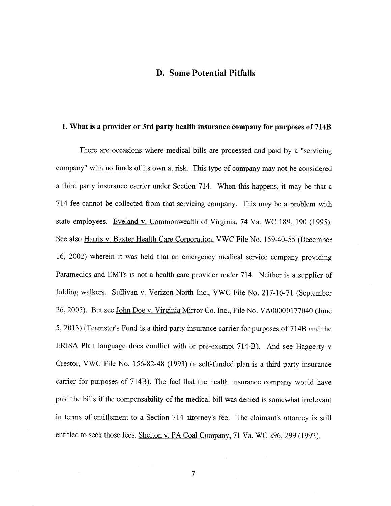## D. Some Potential Pitfalls

### 1. What is a provider or 3rd party health insurance company for purposes of 7148

There are occasions where medical bills are processed and paid by a "servicing company" with no funds of its own at risk. This type of company may not be considered a third party insurance carrier under Section 714. When this happens, it may be that <sup>a</sup> 174 fee cannot be collected from that servicing company. This may be a problem with state employees. Eveland v. Commonwealth of Virginia, 74 Va. WC 189, 190 (1995). See also Harris v. Baxter Health Care Corporation, VWC File No. 159-40-55 (December 16, 2002) wherein it was held that an emergency medical service company providing Paramedics and EMTs is not a health care provider under 714. Neither is a supplier of folding walkers. Sullivan v. Verizon North Inc., VWC File No. 217-16-71 (September 26,2005). But see John Doe v. Virginia Mirror Co. Inc., File No. V400000177040 (June 5,2013) (Teamster's Fund is a third party insurance carrier for purposes of 7148 and the ERISA Plan language does conflict with or pre-exempt 714-B). And see Haggerty  $\nu$ Crestor, VWC File No. 156-82-48 (1993) (a self-funded plan is a third party insurance carrier for purposes of 7l4B). The fact that the health insurance company would have paid the bills if the compensability of the medical bill was denied is somewhat irrelevant in terms of entitlement to a Section 774 attomey's fee. The claimant's attorney is still entitled to seek those fees. Shelton v. PA Coal Company, 71 Va. WC 296, 299 (1992).

 $\overline{7}$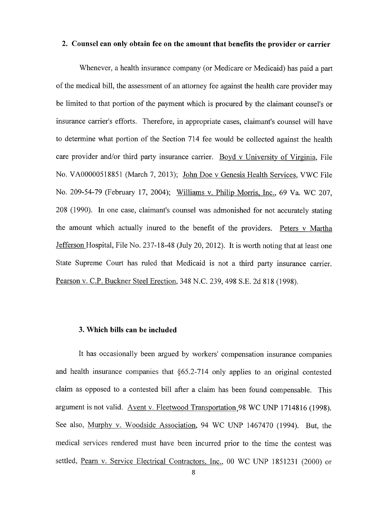## 2. Counsel can only obtain fee on the amount that benefits the provider or carrier

Whenever, a health insurance company (or Medicare or Medicaid) has paid a part of the medical bill, the assessment of an attorney fee against the health care provider may be limited to that portion of the payment which is procured by the claimant counsel's or insurance carrier's efforts. Therefore, in appropriate cases, claimant's counsel will have to determine what portion of the Section 714 fee would be collected against the health care provider and/or third party insurance carrier. Boyd v University of Virginia, File No. V400000518851 (March 7,2013); John Doe v Genesis Health Services, VWC File No. 209-54-79 (February 17, 2004); Williams v. Philip Morris, Inc., 69 Va. WC 207, 208 (1990). In one case, claimant's counsel was admonished for not accurately stating the amount which actually inured to the benefit of the providers. Peters v Martha Jefferson Hospital, File No. 237-18-48 (July 20, 2012). It is worth noting that at least one State Supreme Court has ruled that Medicaid is not a third party insurance carrier. Pearson v. C.P. Buckner Steel Erection, 348 N.C. 239,498 S.E. 2d 818 (1998).

#### 3. Which bills can be included

It has occasionally been argued by workers' compensation insurance companies and health insurance companies that \$65.2-714 only applies to an original contested claim as opposed to a contested bill after a claim has been found compensable. This argument is not valid. Avent v. Fleetwood Transportation 98 WC UNP 1714816 (1998). See also, Murphy v. Woodside Association, 94 WC UNP 1467470 (1994). But, the medical services rendered must have been incurred prior to the time the contest was settled, Pearn v. Service Electrical Contractors. Inc., 00 WC LINP 1851231 (2000) or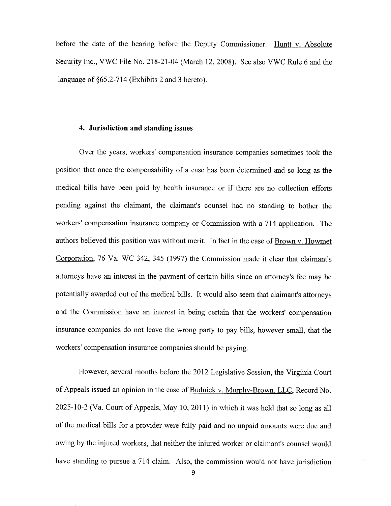before the date of the hearing before the Deputy Commissioner. Huntt v. Absolute Security Inc., VWC File No. 218-21-04 (March 12,2008). See also VWC Rule 6 and the language of \$65.2-714 (Exhibits 2 and 3 hereto).

### 4. Jurisdiction and standing issues

Over the years, workers' compensation insurance companies sometimes took the position that once the compensability of a case has been determined and so long as the medical bills have been paid by health insurance or if there are no collection efforts pending against the claimant, the claimant's counsel had no standing to bother the workers' compensation insurance company or Commission with a 714 application. The authors believed this position was without merit. In fact in the case of Brown v. Howmet Corporation, 76 Va. WC 342, 345 (1997) the Commission made it clear that claimant's attomeys have an interest in the payment of certain bills since an attorney's fee may be potentially awarded out of the medical bills. It would also seem that claimant's attorneys and the Commission have an interest in being certain that the workers' compensation insurance companies do not leave the wrong party to pay bills, however small, that the workers' compensation insurance companies should be paying.

Howevet, several months before rhe 2012 Legislative Session, the Virginia Court of Appeals issued an opinion in the case of Budnick v. Murphy-Brown. LLC, Record No. 2025-10-2 (Va. Court of Appeals, May 10, 201 l) in which it was held that so long as all of the medical bills for a provider were fully paid and no unpaid amounts were due and owing by the injured workers, that neither the injured worker or claimant's counsel would have standing to pursue a 714 claim. Also, the commission would not have jurisdiction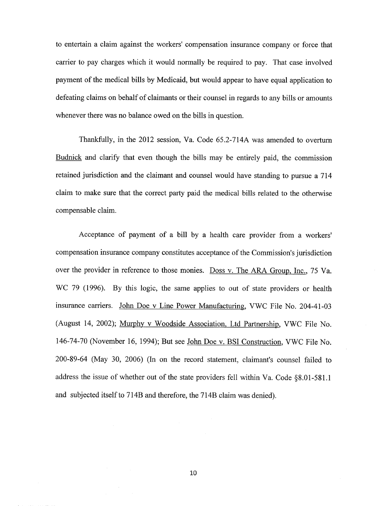to entertain a claim against the workers' compensation insurance company or force that carrier to pay charges which it would normally be required to pay. That case involved payment of the medical bills by Medicaid, but would appear to have equal application to defeating claims on behalf of claimants or their counsel in regards to any bills or amounts whenever there was no balance owed on the bills in question.

Thankfully, in the 2012 session, Va. Code 65.2-714A was amended to overturn Budnick and clarify that even though the bills may be entirely paid, the commission retained jurisdiction and the claimant and counsel would have standing to pursue a 714 claim to make sure that the correct party paid the medical bills related to the otherwise compensable claim.

Acceptance of payment of a bill by a health care provider from a workers' compensation insurance company constitutes acceptance of the Commission's jurisdiction over the provider in reference to those monies. Doss v. The ARA Group, Inc., 75 Va. WC 79 (1996). By this logic, the same applies to out of state providers or health insurance carriers. John Doe v Line Power Manufacturing, VWC File No. 204-41-03 (August 14, 2002); Murphy v Woodside Association, Ltd Partnership, VWC File No. 146-74-70 (November 16, 1994); But see John Doe v. BSI Construction, VWC File No. 200-89-64 (May 30, 2006) (In on the record statement, claimant's counsel failed to address the issue of whether out of the state providers fell within Va. Code \$8.01-581.1 and subjected itself to 714B and therefore, the 714B claim was denied).

10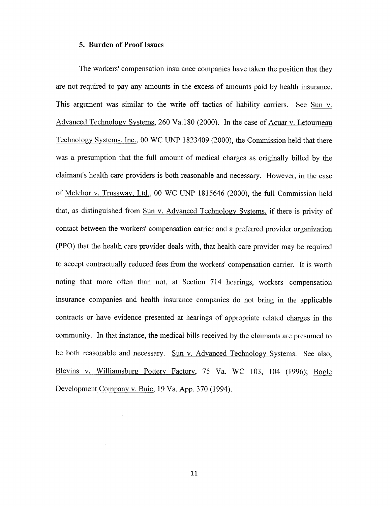#### 5. Burden of Proof Issues

The workers' compensation insurance companies have taken the position that they are not required to pay any amounts in the excess of amounts paid by health insurance. This argument was similar to the write off tactics of liability carriers. See Sun v. Advanced Technology Systems, 260 Va.180 (2000). In the case of Acuar v. Letourneau Technology Systems, Inc., 00 WC UNP 1823409 (2000), the Commission held that there was a presumption that the full amount of medical charges as originally billed by the claimant's health care providers is both reasonable and necessary. However, in the case of <u>Melchor v. Trussway, Ltd.</u>, 00 WC UNP 1815646 (2000), the full Commission held that, as distinguished from Sun v. Advanced Technology Systems, if there is privity of contact between the workers' compensation carrier and a preferred provider organization (PPO) that the health care provider deals with, that health care provider may be required to accept contractually reduced fees from the workers' compensation carrier. It is worth noting that more often than not, at Section 714 hearings, workers' compensation insurance companies and health insurance companies do not bring in the applicable contracts or have evidence presented at hearings of appropriate related charges in the community. In that instance, the medical bills received by the claimants are presumed to be both reasonable and necessary. Sun v. Advanced Technology Systems. See also, Blevins v. Williamsburg Pottery Factory, 75 Va. WC 103, 104 (1996); Bogle Development Company v. Buie, 19 Va. App.370 (1994).

11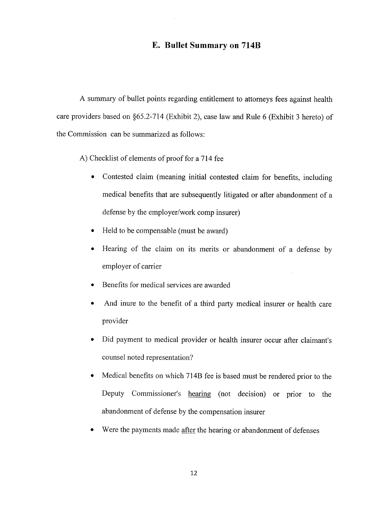## E. Bullet Summary on 7l4B

A summary of bullet points regarding entitlement to attorneys fees against health care providers based on \$65.2-714 (Exhibit 2), case law and Rule 6 (Exhibit 3 hereto) of the Commission can be summarized as follows:

A) Checklist of elements of proof for a 714 fee

- Contested claim (meaning initial contested claim for benefits, including medical benefits that are subsequently litigated or after abandonment of <sup>a</sup> defense by the employer/work comp insurer)
- Held to be compensable (must be award)
- o Hearing of the claim on its merits or abandonment of a defense by employer of carrier
- o Benefits for medical services are awarded
- And inure to the benefit of a third party medical insurer or health care  $\bullet$ provider
- Did payment to medical provider or health insurer occur after claimant's counsel noted representation?
- Medical benefits on which 7l4B fee is based must be rendered prior to the  $\bullet$ Deputy Commissioner's hearing (not decision) or prior to the abandonment of defense by the compensation insurer
- Were the payments made after the hearing or abandonment of defenses  $\bullet$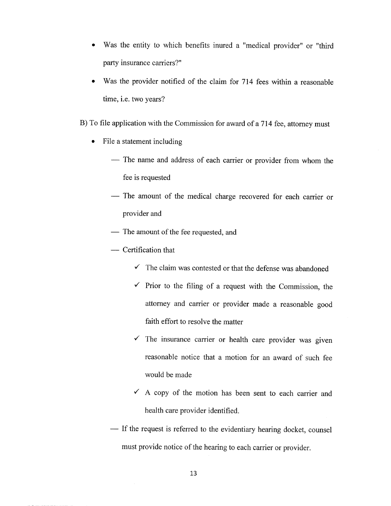- . Was the entity to which benefits inured a "medical provider" or "third party insurance carriers?"
- Was the provider notified of the claim for 714 fees within a reasonable time, i.e. two years?
- B) To file application with the Commission for award of a 714 fee, attorney must
	- File a statement including
		- The name and address of each carrier or provider from whom the fee is requested
		- The amount of the medical charge recovered for each carrier or provider and
		- The amount of the fee requested, and
		- Certification that
			- $\checkmark$  The claim was contested or that the defense was abandoned
			- $\checkmark$  Prior to the filing of a request with the Commission, the attorney and carrier or provider made a reasonable good faith effort to resolve the matter
			- $\checkmark$  The insurance carrier or health care provider was given reasonable notice that a motion for an award of such fee would be made
			- $\checkmark$  A copy of the motion has been sent to each carrier and health care provider identified.
		- -- If the request is referred to the evidentiary hearing docket, counsel must provide notice of the hearing to each carrier or provider.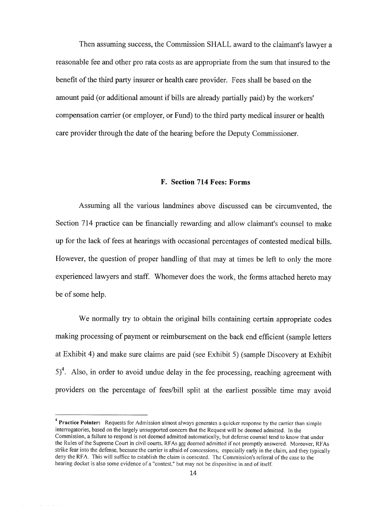Then assuming success, the Commission SHALL award to the claimant's lawyer a reasonable fee and other pro rata costs as are appropriate from the sum that insured to the benefit of the third party insurer or health care provider. Fees shall be based on the amount paid (or additional amount if bills are already partially paid) by the workers' compensation carrier (or employer, or Fund) to the third party medical insurer or health care provider through the date of the hearing before the Deputy Commissioner.

### F. Section 714 Fees: Forms

Assuming all the various landmines above discussed can be circumvented, the Section 714 practice can be financially rewarding and allow claimant's counsel to make up for the lack of fees at hearings with occasional percentages of contested medical bills. However, the question of proper handling of that may at times be left to only the more experienced lawyers and staff. 'Whomever does the work, the forms attached hereto may be of some help.

'We normally try to obtain the original bills containing certain appropriate codes making processing of payment or reimbursement on the back end efficient (sample letters at Exhibit 4) and make sure claims are paid (see Exhibit 5) (sample Discovery at Exhibit  $5)^4$ . Also, in order to avoid undue delay in the fee processing, reaching agreement with providers on the percentage of fees/bill split at the earliest possible time may avoid

 $4$  Practice Pointer: Requests for Admission almost always generates a quicker response by the carrier than simple interrogatories, based on the largely unsupported concern that the Request will be deemed admitted. In the Commission, a fàilure to respond is not deemed admitted automatically, but defènse counsel tend to know that under the Rules of the Supreme Court in civil courts, RFAs are deemed admitted if not promptly answered. Moreover, RFAs strike fear into the defense, because the carrier is afraid of concessions, especially early in the claim, and they typically deny the RFA. This will suffice to establish the claim is contested. The Commission's referral of the case to the hearing docket is also some evidence of a "contest," but may not be dispositive in and of itself.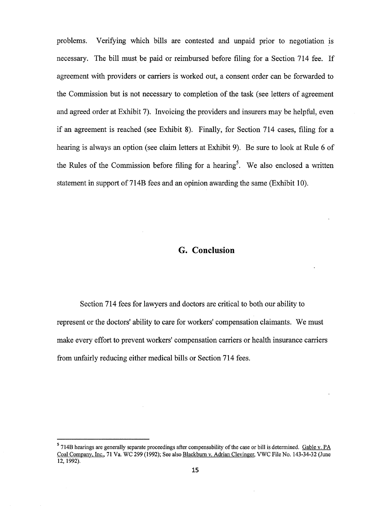problems. Verifying which bills are contested and unpaid prior to negotiation is necessary. The bill must be paid or reimbursed before filing for a Section 714 fee. If agreement with providers or carriers is worked out, a consent order can be forwarded to the Commission but is not necessary to completion of the task (see letters of agreement and agreed order at Exhibit 7). Invoicing the providers and insurers may be helpful, even if an agreement is reached (see Exhibit 8). Finally, for Section 714 cases, filing for <sup>a</sup> hearing is always an option (see claim letters at Exhibit 9). Be sure to look at Rule 6 of the Rules of the Commission before filing for a hearing<sup>5</sup>. We also enclosed a written statement in support of 7l4B fees and an opinion awarding the same (Exhibit 10).

## G. Conclusion

Section 7I4 fees for lawyers and doctors are critical to both our ability to represent or the doctors' ability to care for workers' compensation claimants. We must make every effort to prevent workers' compensation carriers or health insurance carriers from unfairly reducing either medical bills or Section 714 fees.

<sup>&</sup>lt;sup>5</sup> 714B hearings are generally separate proceedings after compensability of the case or bill is determined. Gable v. PA Coal Company. Inc.. 7l Va. WC 299 (1992); See also Blackburn v. Adrian Clevineer. VWC File No. 143-34-32 (June 12,1992).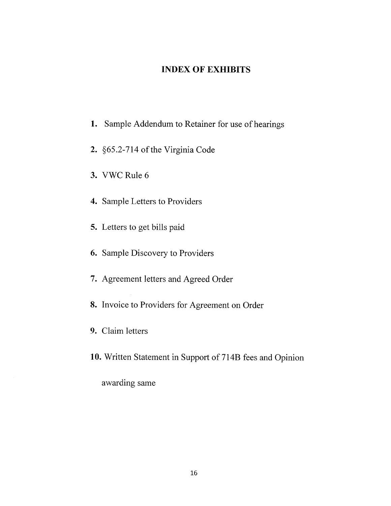## INDEX OF EXHIBITS

- 1. Sample Addendum to Retainer for use of hearings
- 2. ç65.2-714 of the Virginia Code
- 3. VWC Rule 6
- 4. Sample Letters to Providers
- 5. Letters to get bills paid
- 6. Sample Discovery to Providers
- 7. Agreement letters and Agreed Order
- 8. Invoice to Providers for Agreement on Order
- 9. Claim letters
- 10. Written Statement in Support of 714B fees and Opinion

awarding same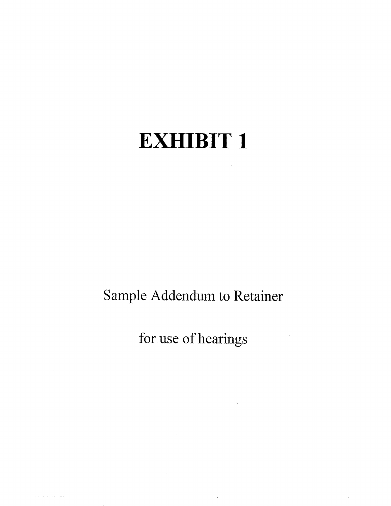# EXHIBIT <sup>1</sup>

Sample Addendum to Retainer

for use of hearings

 $\ddot{\phantom{a}}$ 

 $\alpha$  ,  $\alpha$  ,  $\alpha$  ,  $\alpha$  ,  $\alpha$  ,  $\alpha$  , and  $\alpha$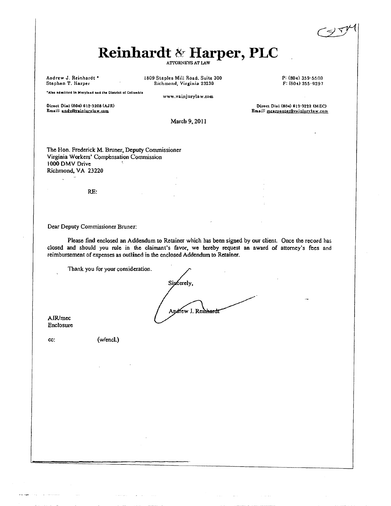# Reinhardt & Harper, PLC

Andrew J. Reinhardt \* Stephen T. Harper

 $\mathcal{L}^{\text{max}}$ 

1809 Staples Mill Road, Suite 300 Richmond, Virginia 23230

P: (804) 359-5500  $F: (804) 355.9297$ 

Direct Dial (804) 612-3222 (MEC)

Email: mearpenter@vainiurvlaw.com

"Also admitted in Maryland and the District of Columbia

Direct Dial (804) 612-3208 (AJR) Email: andv@vainiurylaw.com

March 9, 2011

www.vainjurylaw.com

The Hon. Frederick M. Bruner, Deputy Commissioner Virginia Workers' Compensation Commission 1000 DMV Drive Richmond, VA 23220

RE:

Dear Deputy Commissioner Bruner:

Please find enclosed an Addendum to Retainer which has been signed by our client. Once the record has closed and should you rule in the claimant's favor, we hereby request an award of attorney's fees and reimbursement of expenses as outlined in the enclosed Addendum to Retainer.

Thank you for your consideration.

Sipcerely. Andrew J. Reihhardt

AJR/mec Enclosure

cc:

sisteman

(w/encl.)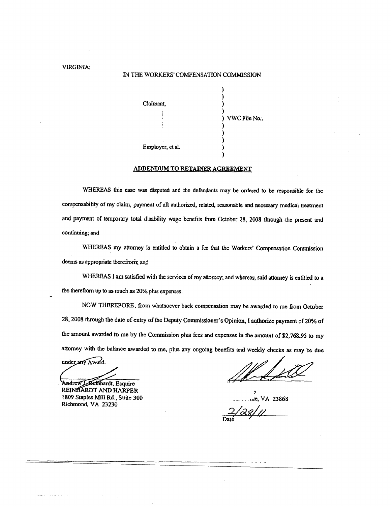#### VIRGINIA:

#### IN THE WORKERS' COMPENSATION COMMISSION



#### **ADDENDUM TO RETAINER AGREEMENT**

WHEREAS this case was disputed and the defendants may be ordered to be responsible for the compensability of my claim, payment of all authorized, related, reasonable and necessary medical treatment and payment of temporary total disability wage benefits from October 28, 2008 through the present and continuing; and

WHEREAS my attorney is entitled to obtain a fee that the Workers' Compensation Commission deems as appropriate therefrom; and

WHEREAS I am satisfied with the services of my attorney; and whereas, said attorney is entitled to a fee therefrom up to as much as 20% plus expenses.

NOW THEREFORE, from whatsoever back compensation may be awarded to me from October 28, 2008 through the date of entry of the Deputy Commissioner's Opinion, I authorize payment of 20% of the amount awarded to me by the Commission plus fees and expenses in the amount of \$2,768.95 to my attorney with the balance awarded to me, plus any ongoing benefits and weekly checks as may be due

under any Award.

elnhardt, Esquire Andrew REINHARDT AND HARPER 1809 Staples Mill Rd., Suite 300 Richmond, VA 23230

ic, VA 23868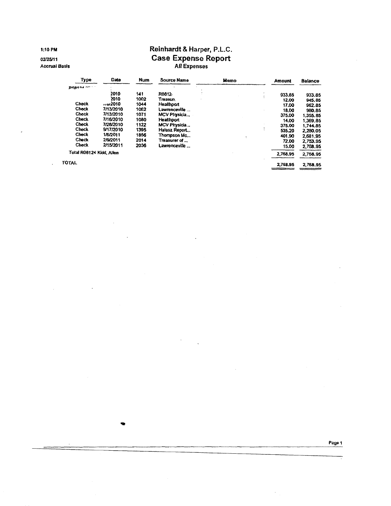1:10 PM

02/25/11

**Accrual Basis** 

 $\mathbf{r}$ 

## Reinhardt & Harper, P.L.C. Case Expense Report

| Type           | Date                     | <b>Num</b> | Source Name   | Memo | Amount   | <b>Balance</b> |
|----------------|--------------------------|------------|---------------|------|----------|----------------|
| possor for the |                          |            |               |      |          |                |
|                | 2010                     | 141        | R0812-        |      | 933.85   | 933.85         |
|                | 2010                     | 1002       | Treasun       |      | 12.00    | 945.85         |
| Check          | .102010                  | 1044       | Healthoort    |      | 17.00    | 962.85         |
| Check          | 7/13/2010                | 1062       | Lawrenceville |      | 18.00    | 980.85         |
| <b>Check</b>   | 7/13/2010                | 1071       | MCV Physicia  |      | 375.00   | 1.355.85       |
| Check          | 7/16/2010                | 1080       | Healthport    |      | 14.00    | 1.369.85       |
| Check          | 7/28/2010                | 1122       | MCV Physicia  |      | 375.00   | 1,744.85       |
| Check          | 9/17/2010                | 1395       | Halasz Report |      | 535.20   | 2,280.05       |
| Check          | 1/6/2011                 | 1856       | Thompson Mc   |      | 401.90   | 2,681.95       |
| Check          | 2/9/2011                 | 2014       | Treasurer of  |      | 72.00    | 2,753.95       |
| Check          | 2/15/2011                | 2036       | Lawrenceville |      | 15.00    | 2,768.95       |
|                | Total R08124 Kidd, Allen |            |               |      |          | 2,768.95       |
| <b>TOTAL</b>   |                          |            |               |      | 2,768.95 | 2,768.95       |

Page 1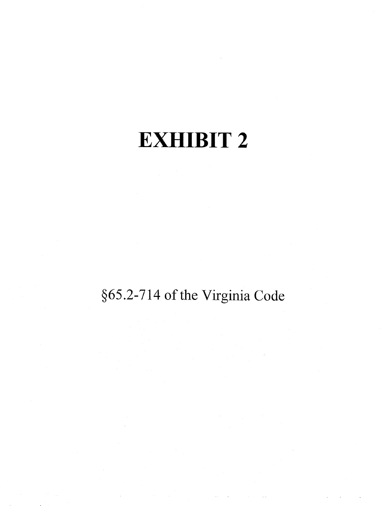# **EXHIBIT 2**

## §65.2-714 of the Virginia Code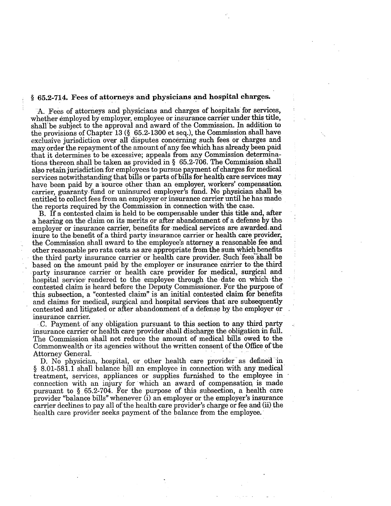## § 65.2-714. Fees of attorneys and physicians and hospital charges.

A. Fees of attorneys and physicians and charges of hospitals for services, whether employed by employer, employee or insurance carrier under this title, shall be subject to the approval and award of the Commission. In addition to the provisions of Chapter 13 (§ 65.2-1300 et seq.), the Commission shall have exclusive jurisdiction over all disputes concerning such fees or charges and may order the repayment of the amount of any fee which has already been paid that it determines to be excessive; appeals from any Commission determinations thereon shall be taken as provided in  $\S$  65.2-706. The Commission shall also retain jurisdiction for employees to pursue payment of charges for medical services notwithstanding that bills or parts of bills for health care services may have been paid by a source other than an employer, workers' compensation carrier, guaranty fund or uninsured employer's fund. No physician shall be entitled to collect fees from an employer or insurance carrier until he has made the reports required by the Commission in connection with the case.

B. If a contested claim is held to be compensable under this title and, after a hearing on the claim on its merits or after abandonment of a defense by the employer or insurance carrier, benefits for medical services are awarded and inure to the benefit of a third party insurance carrier or health care provider, the Commission shall award to the employee's attorney a reasonable fee and other reasonable pro rata costs as are appropriate from the sum which benefits the third party insurance carrier or health care provider. Such fees shall be based on the amount paid by the employer or insurance carrier to the third party insurance carrier or health care provider for medical, surgical and hospital service rendered to the employee through the date on which the contested claim is heard before the Deputy Commissioner. For the purpose of this subsection, a "contested claim" is an initial contested claim for benefits and claims for medical, surgical and hospital services that are subsequently contested and litigated or after abandonment of a defense by the employer or insurance carrier.

C. Payment of any obligation pursuant to this section to any third party insurance carrier or health care provider shall discharge the obligation in full. The Commission shall not reduce the amount of medical bills owed to the Commonwealth or its agencies without the written consent of the Office of the Attorney General.

D. No physician, hospital, or other health care provider as defined in § 8.01-581.1 shall balance bill an employee in connection with any medical treatment, services, appliances or supplies furnished to the employee in connection with an injury for which an award of compensation is made pursuant to § 65.2-704. For the purpose of this subsection, a health care provider "balance bills" whenever (i) an employer or the employer's insurance carrier declines to pay all of the health care provider's charge or fee and (ii) the health care provider seeks payment of the balance from the employee.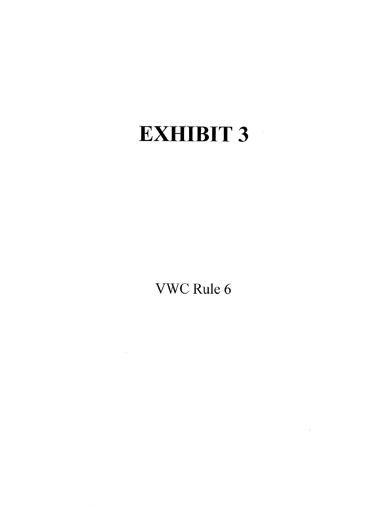# EXHIBIT 3

## VWC Rule 6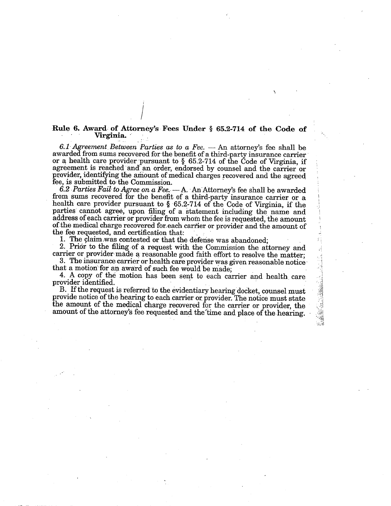### Rule 6. Award of Attorney's Fees Under § 65.2-714 of the Code of Virginia.

6.1 Agreement Between Parties as to a Fee. - An attorney's fee shall be awarded from sums recovered for the benefit of a third-party insurance carrier or a health care provider pursuant to  $\S$  65.2-714 of the Code of Virginia, if agreement is reached and an order, endorsed by counsel and the carrier or provider, identifying the amount of medical charges recovered and the agreed fee, is submitted to the Commission.

6.2 Parties Fail to Agree on a Fee.  $-A$ . An Attorney's fee shall be awarded from sums recovered for the benefit of a third-party insurance carrier or a health care provider pursuant to § 65.2-714 of the Code of Virginia, if the parties cannot agree, upon filing of a statement including the name and address of each carrier or provider from whom the fee is requested, the amount of the medical charge recovered for each carrier or provider and the amount of the fee requested, and certification that:

1. The claim was contested or that the defense was abandoned;

2. Prior to the filing of a request with the Commission the attorney and carrier or provider made a reasonable good faith effort to resolve the matter:

3. The insurance carrier or health care provider was given reasonable notice that a motion for an award of such fee would be made;

4. A copy of the motion has been sent to each carrier and health care provider identified.

B. If the request is referred to the evidentiary hearing docket, counsel must provide notice of the hearing to each carrier or provider. The notice must state the amount of the medical charge recovered for the carrier or provider, the amount of the attorney's fee requested and the time and place of the hearing.  $\mathcal{C}_{\mathcal{C}}$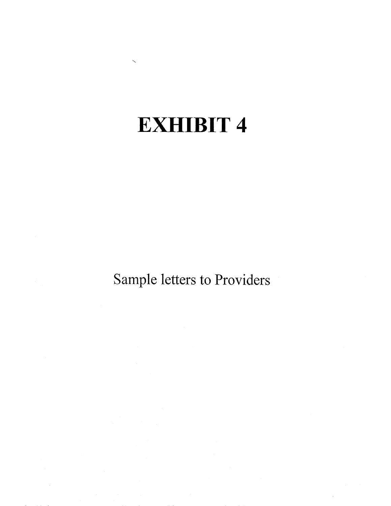# **EXHIBIT 4**

Sample letters to Providers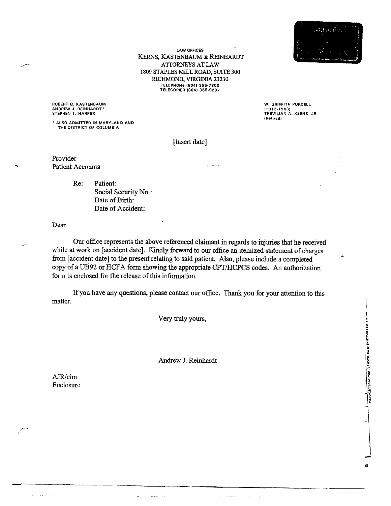

**LAW OFFICES** KERNS, KASTENBAUM & REINHARDT ATTORNEYS AT LAW 1809 STAPLES MILL ROAD, SUITE 300 RICHMOND, VIRGINIA 23230 TELEPHONE (804) 355-7900<br>TELEPHONE (804) 355-7900<br>TELECOPIER (804) 355-9297

ROBERT G. KASTENBAUM<br>ANDREW J. REINHARDT\*<br>STEPHEN T. HARPER

\* ALSO ADMITTED IN MARYLAND AND THE DISTRICT OF COLUMBIA

W. GRIFFITH PURCELL (1912-1983)<br>TREVILIAN A. KERNS, JR (Retired)

[insert date]

Provider **Patient Accounts** 

> Re: Patient: Social Security No.: Date of Birth: Date of Accident:

Dear

Our office represents the above referenced claimant in regards to injuries that he received while at work on [accident date]. Kindly forward to our office an itemized statement of charges from [accident date] to the present relating to said patient. Also, please include a completed copy of a UB92 or HCFA form showing the appropriate CPT/HCPCS codes. An authorization form is enclosed for the release of this information.

If you have any questions, please contact our office. Thank you for your attention to this matter.

Very truly yours,

Andrew J. Reinhardt

AJR/clm Enclosure

الموالية الموالي

10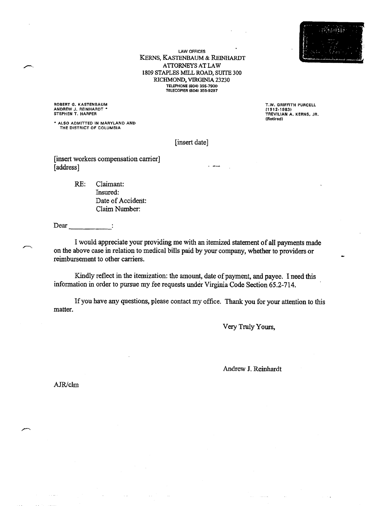**LAW OFFICES** KERNS, KASTENBAUM & REINHARDT ATTORNEYS AT LAW 1809 STAPLES MILL ROAD, SUITE 300 RICHMOND, VIRGINIA 23230 TELEPHONE (804) 355-7900 **TELECOPIER (804) 355-9297** 

ROBERT G. KASTENBAUM ANDREW J. REINHARDT \*

\* ALSO ADMITTED IN MARYLAND AND THE DISTRICT OF COLUMBIA

T.W. GRIFFITH PURCELL (1912-1983)<br>TREVILIAN A. KERNS, JR. (Retired)

[insert date]

[insert workers compensation carrier] [address]

> RE: Claimant: Insured: Date of Accident: Claim Number:

 $\text{Dear}$  :

I would appreciate your providing me with an itemized statement of all payments made on the above case in relation to medical bills paid by your company, whether to providers or reimbursement to other carriers.

Kindly reflect in the itemization: the amount, date of payment, and payee. I need this information in order to pursue my fee requests under Virginia Code Section 65.2-714.

If you have any questions, please contact my office. Thank you for your attention to this matter.

Very Truly Yours,

Andrew J. Reinhardt

AJR/clm